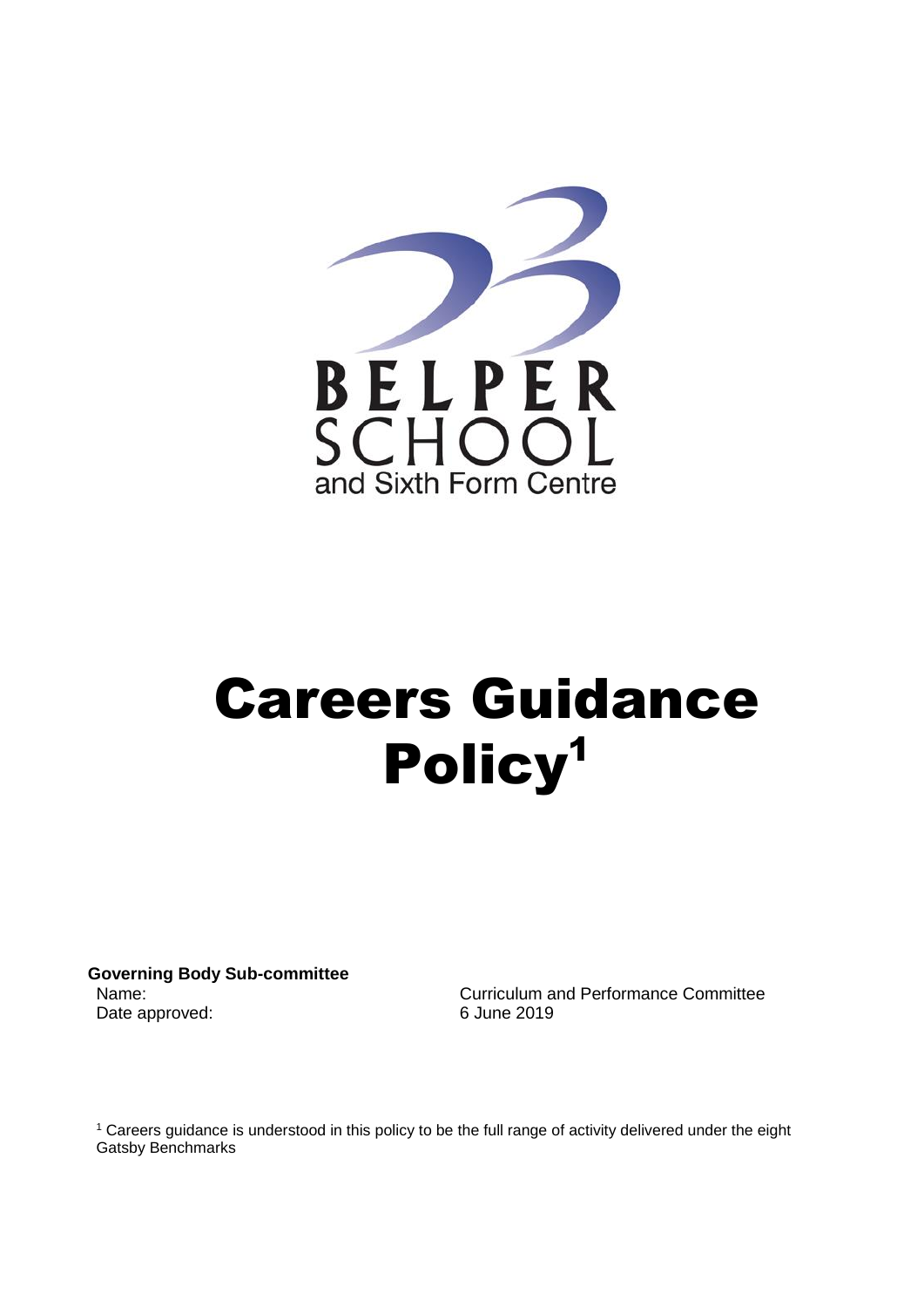

# Careers Guidance Policy1

**Governing Body Sub-committee** Date approved: 6 June 2019

Name: Curriculum and Performance Committee

<sup>1</sup> Careers guidance is understood in this policy to be the full range of activity delivered under the eight [Gatsby Benchmarks](https://compass.careersandenterprise.co.uk/info)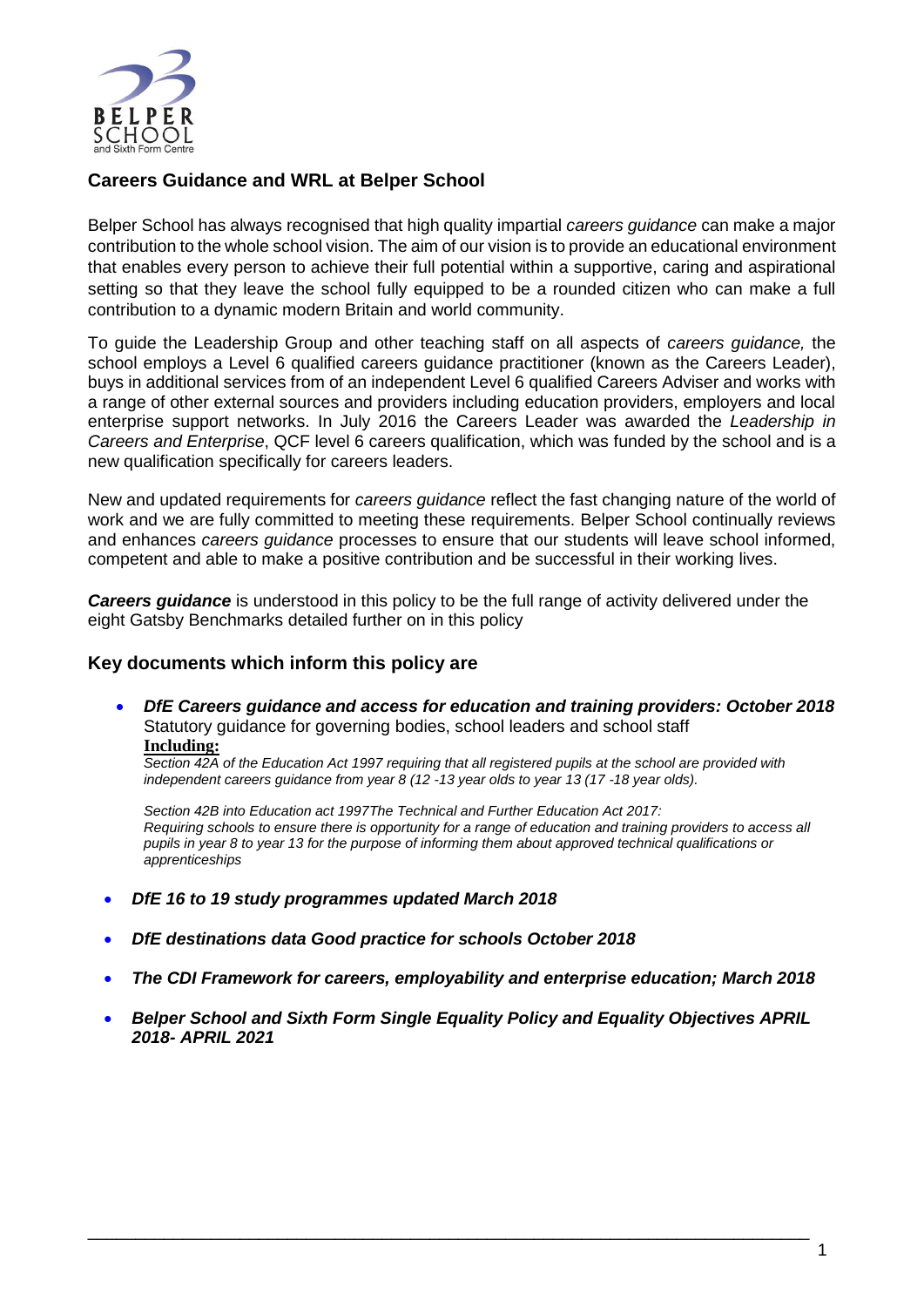

# **Careers Guidance and WRL at Belper School**

Belper School has always recognised that high quality impartial *careers guidance* can make a major contribution to the whole school vision. The aim of our vision is to provide an educational environment that enables every person to achieve their full potential within a supportive, caring and aspirational setting so that they leave the school fully equipped to be a rounded citizen who can make a full contribution to a dynamic modern Britain and world community.

To guide the Leadership Group and other teaching staff on all aspects of *careers guidance,* the school employs a Level 6 qualified careers guidance practitioner (known as the Careers Leader), buys in additional services from of an independent Level 6 qualified Careers Adviser and works with a range of other external sources and providers including education providers, employers and local enterprise support networks. In July 2016 the Careers Leader was awarded the *Leadership in Careers and Enterprise*, QCF level 6 careers qualification, which was funded by the school and is a new qualification specifically for careers leaders.

New and updated requirements for *careers guidance* reflect the fast changing nature of the world of work and we are fully committed to meeting these requirements. Belper School continually reviews and enhances *careers guidance* processes to ensure that our students will leave school informed, competent and able to make a positive contribution and be successful in their working lives.

*Careers guidance* is understood in this policy to be the full range of activity delivered under the eight Gatsby Benchmarks detailed further on in this policy

#### **Key documents which inform this policy are**

 *DfE Careers guidance and access for education and training providers: October 2018* Statutory guidance for governing bodies, school leaders and school staff **Including:**

*Section 42A of the Education Act 1997 requiring that all registered pupils at the school are provided with independent careers guidance from year 8 (12 -13 year olds to year 13 (17 -18 year olds).*

*Section 42B into Education act 1997The Technical and Further Education Act 2017: Requiring schools to ensure there is opportunity for a range of education and training providers to access all pupils in year 8 to year 13 for the purpose of informing them about approved technical qualifications or apprenticeships*

- *DfE 16 to 19 study programmes updated March 2018*
- *[DfE destinations data Good practice for schools October 2018](file:///C:/Users/sdd/Downloads/Destinations_good_practice_guide_for_policy%202018.pdf)*
- *[The CDI Framework for careers, employability](file:///C:/Users/sdd/Downloads/BP556-CDI-Framework%202018-web%20link%20for%20policy.pdf) and enterprise education; March 2018*
- *[Belper School and Sixth Form Single Equality Policy and Equality Objectives APRIL](http://www.belperschool.co.uk/download/policies/Single-equality-policy-and-equality-objectives-2018-2021-April-2018.pdf)  2018- [APRIL 2021](http://www.belperschool.co.uk/download/policies/Single-equality-policy-and-equality-objectives-2018-2021-April-2018.pdf)*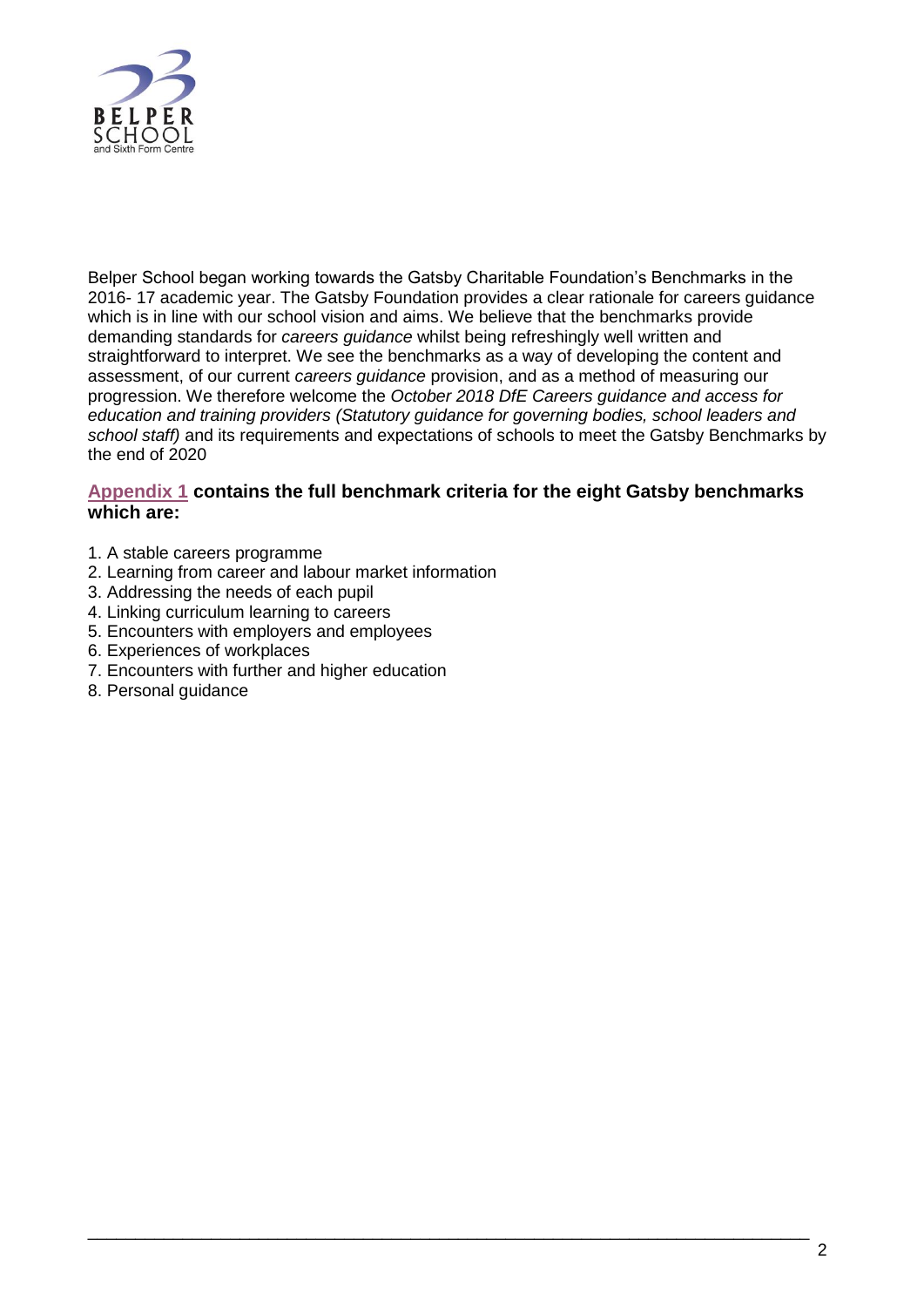

Belper School began working towards the Gatsby Charitable Foundation's Benchmarks in the 2016- 17 academic year. The Gatsby Foundation provides a clear rationale for careers guidance which is in line with our school vision and aims. We believe that the benchmarks provide demanding standards for *careers guidance* whilst being refreshingly well written and straightforward to interpret. We see the benchmarks as a way of developing the content and assessment, of our current *careers guidance* provision, and as a method of measuring our progression. We therefore welcome the *October 2018 [DfE Careers guidance and access for](https://www.gov.uk/government/uploads/system/uploads/attachment_data/file/672418/_Careers_guidance_and_access_for_education_and_training_providers.pdf)  [education and training providers](https://www.gov.uk/government/uploads/system/uploads/attachment_data/file/672418/_Careers_guidance_and_access_for_education_and_training_providers.pdf) (Statutory guidance for governing bodies, school leaders and school staff)* and its requirements and expectations of schools to meet the Gatsby Benchmarks by the end of  $2020$ 

#### **[Appendix 1](#page-7-0) contains the full benchmark criteria for the eight Gatsby benchmarks which are:**

- 1. A stable careers programme
- 2. Learning from career and labour market information
- 3. Addressing the needs of each pupil
- 4. Linking curriculum learning to careers
- 5. Encounters with employers and employees
- 6. Experiences of workplaces
- 7. Encounters with further and higher education
- 8. Personal guidance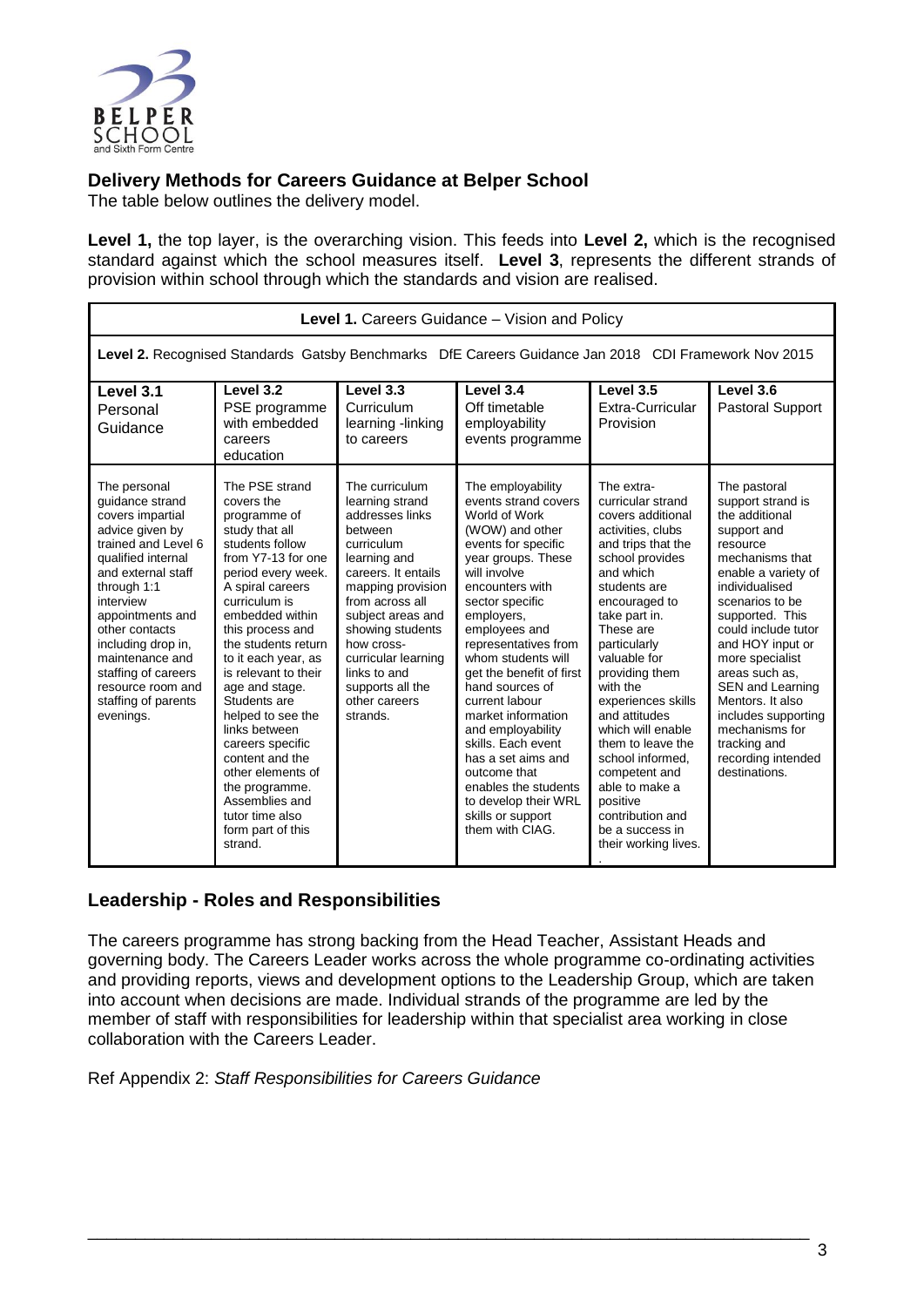

# **Delivery Methods for Careers Guidance at Belper School**

The table below outlines the delivery model.

**Level 1,** the top layer, is the overarching vision. This feeds into **Level 2,** which is the recognised standard against which the school measures itself. **Level 3**, represents the different strands of provision within school through which the standards and vision are realised.

| Level 1. Careers Guidance - Vision and Policy                                                                                                                                                                                                                                                                                        |                                                                                                                                                                                                                                                                                                                                                                                                                                                                                                            |                                                                                                                                                                                                                                                                                                             |                                                                                                                                                                                                                                                                                                                                                                                                                                                                                                                               |                                                                                                                                                                                                                                                                                                                                                                                                                                                                                 |                                                                                                                                                                                                                                                                                                                                                                                                                 |  |
|--------------------------------------------------------------------------------------------------------------------------------------------------------------------------------------------------------------------------------------------------------------------------------------------------------------------------------------|------------------------------------------------------------------------------------------------------------------------------------------------------------------------------------------------------------------------------------------------------------------------------------------------------------------------------------------------------------------------------------------------------------------------------------------------------------------------------------------------------------|-------------------------------------------------------------------------------------------------------------------------------------------------------------------------------------------------------------------------------------------------------------------------------------------------------------|-------------------------------------------------------------------------------------------------------------------------------------------------------------------------------------------------------------------------------------------------------------------------------------------------------------------------------------------------------------------------------------------------------------------------------------------------------------------------------------------------------------------------------|---------------------------------------------------------------------------------------------------------------------------------------------------------------------------------------------------------------------------------------------------------------------------------------------------------------------------------------------------------------------------------------------------------------------------------------------------------------------------------|-----------------------------------------------------------------------------------------------------------------------------------------------------------------------------------------------------------------------------------------------------------------------------------------------------------------------------------------------------------------------------------------------------------------|--|
| Level 2. Recognised Standards Gatsby Benchmarks DfE Careers Guidance Jan 2018 CDI Framework Nov 2015                                                                                                                                                                                                                                 |                                                                                                                                                                                                                                                                                                                                                                                                                                                                                                            |                                                                                                                                                                                                                                                                                                             |                                                                                                                                                                                                                                                                                                                                                                                                                                                                                                                               |                                                                                                                                                                                                                                                                                                                                                                                                                                                                                 |                                                                                                                                                                                                                                                                                                                                                                                                                 |  |
| Level 3.1<br>Personal<br>Guidance                                                                                                                                                                                                                                                                                                    | Level 3.2<br>PSE programme<br>with embedded<br>careers<br>education                                                                                                                                                                                                                                                                                                                                                                                                                                        | Level 3.3<br>Curriculum<br>learning -linking<br>to careers                                                                                                                                                                                                                                                  | Level 3.4<br>Off timetable<br>employability<br>events programme                                                                                                                                                                                                                                                                                                                                                                                                                                                               | Level 3.5<br>Extra-Curricular<br>Provision                                                                                                                                                                                                                                                                                                                                                                                                                                      | Level 3.6<br>Pastoral Support                                                                                                                                                                                                                                                                                                                                                                                   |  |
| The personal<br>quidance strand<br>covers impartial<br>advice given by<br>trained and Level 6<br>qualified internal<br>and external staff<br>through 1:1<br>interview<br>appointments and<br>other contacts<br>including drop in,<br>maintenance and<br>staffing of careers<br>resource room and<br>staffing of parents<br>evenings. | The PSE strand<br>covers the<br>programme of<br>study that all<br>students follow<br>from Y7-13 for one<br>period every week.<br>A spiral careers<br>curriculum is<br>embedded within<br>this process and<br>the students return<br>to it each year, as<br>is relevant to their<br>age and stage.<br>Students are<br>helped to see the<br>links between<br>careers specific<br>content and the<br>other elements of<br>the programme.<br>Assemblies and<br>tutor time also<br>form part of this<br>strand. | The curriculum<br>learning strand<br>addresses links<br>between<br>curriculum<br>learning and<br>careers. It entails<br>mapping provision<br>from across all<br>subject areas and<br>showing students<br>how cross-<br>curricular learning<br>links to and<br>supports all the<br>other careers<br>strands. | The employability<br>events strand covers<br>World of Work<br>(WOW) and other<br>events for specific<br>year groups. These<br>will involve<br>encounters with<br>sector specific<br>employers,<br>employees and<br>representatives from<br>whom students will<br>get the benefit of first<br>hand sources of<br>current labour<br>market information<br>and employability<br>skills. Each event<br>has a set aims and<br>outcome that<br>enables the students<br>to develop their WRL<br>skills or support<br>them with CIAG. | The extra-<br>curricular strand<br>covers additional<br>activities, clubs<br>and trips that the<br>school provides<br>and which<br>students are<br>encouraged to<br>take part in.<br>These are<br>particularly<br>valuable for<br>providing them<br>with the<br>experiences skills<br>and attitudes<br>which will enable<br>them to leave the<br>school informed.<br>competent and<br>able to make a<br>positive<br>contribution and<br>be a success in<br>their working lives. | The pastoral<br>support strand is<br>the additional<br>support and<br>resource<br>mechanisms that<br>enable a variety of<br>individualised<br>scenarios to be<br>supported. This<br>could include tutor<br>and HOY input or<br>more specialist<br>areas such as.<br><b>SEN and Learning</b><br>Mentors. It also<br>includes supporting<br>mechanisms for<br>tracking and<br>recording intended<br>destinations. |  |

# **Leadership - Roles and Responsibilities**

The careers programme has strong backing from the Head Teacher, Assistant Heads and governing body. The Careers Leader works across the whole programme co-ordinating activities and providing reports, views and development options to the Leadership Group, which are taken into account when decisions are made. Individual strands of the programme are led by the member of staff with responsibilities for leadership within that specialist area working in close collaboration with the Careers Leader.

\_\_\_\_\_\_\_\_\_\_\_\_\_\_\_\_\_\_\_\_\_\_\_\_\_\_\_\_\_\_\_\_\_\_\_\_\_\_\_\_\_\_\_\_\_\_\_\_\_\_\_\_\_\_\_\_\_\_\_\_\_\_\_\_\_\_\_\_\_\_\_\_\_\_\_\_

[Ref Appendix 2:](#page-9-0) *Staff Responsibilities for Careers Guidance*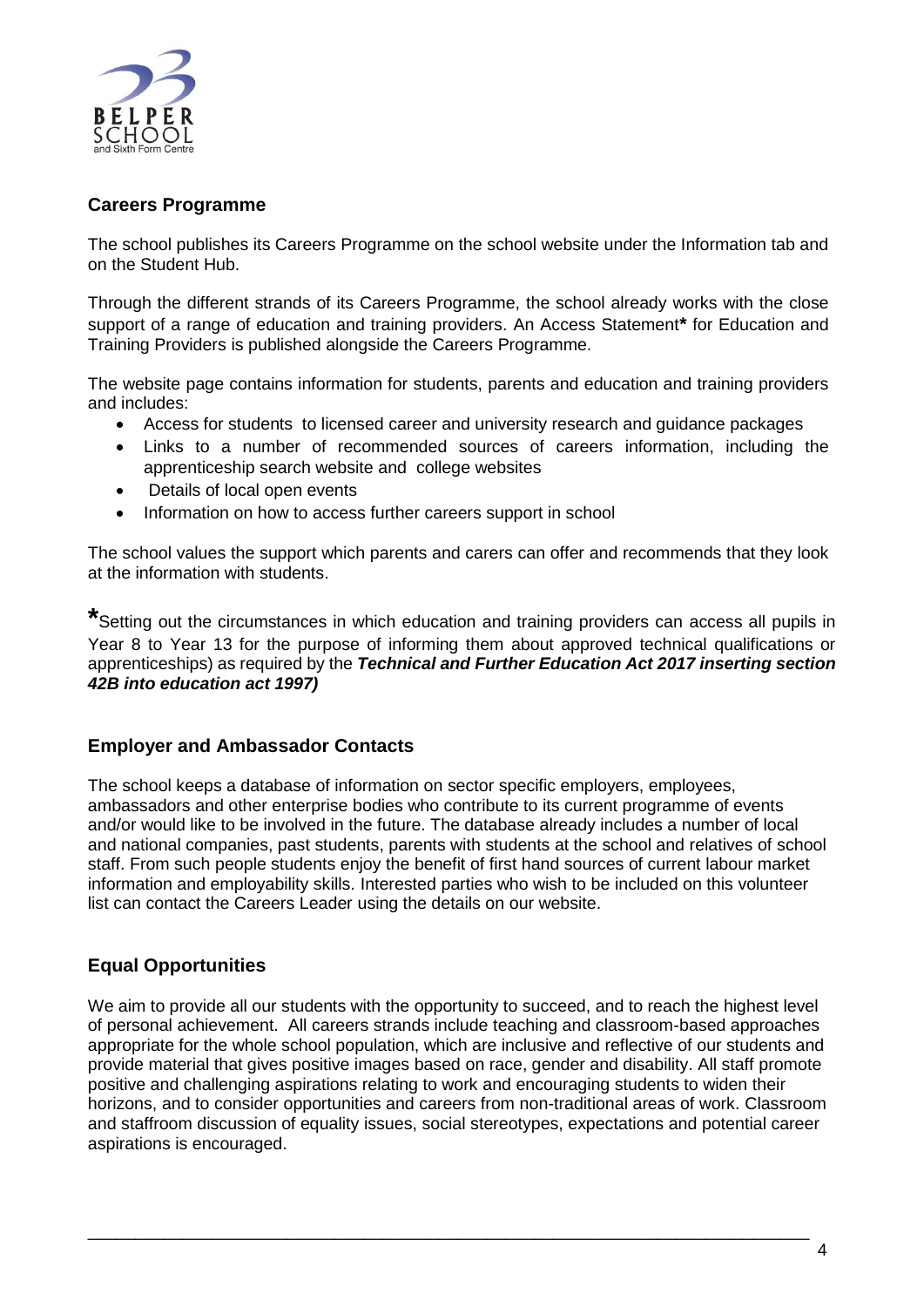

# **Careers Programme**

The school publishes its Careers Programme on the school website under the Information tab and on the Student Hub.

Through the different strands of its Careers Programme, the school already works with the close support of a range of education and training providers. An Access Statement**\*** for Education and Training Providers is published alongside the Careers Programme.

The website page contains information for students, parents and education and training providers and includes:

- Access for students to licensed career and university research and guidance packages
- Links to a number of recommended sources of careers information, including the apprenticeship search website and college websites
- Details of local open events
- Information on how to access further careers support in school

The school values the support which parents and carers can offer and recommends that they look at the information with students.

**\***Setting out the circumstances in which education and training providers can access all pupils in Year 8 to Year 13 for the purpose of informing them about approved technical qualifications or apprenticeships) as required by the *Technical and Further Education Act 2017 inserting section 42B into education act 1997)*

#### **Employer and Ambassador Contacts**

The school keeps a database of information on sector specific employers, employees, ambassadors and other enterprise bodies who contribute to its current programme of events and/or would like to be involved in the future. The database already includes a number of local and national companies, past students, parents with students at the school and relatives of school staff. From such people students enjoy the benefit of first hand sources of current labour market information and employability skills. Interested parties who wish to be included on this volunteer list can contact the Careers Leader using the details on our website.

# **Equal Opportunities**

We aim to provide all our students with the opportunity to succeed, and to reach the highest level of personal achievement. All careers strands include teaching and classroom-based approaches appropriate for the whole school population, which are inclusive and reflective of our students and provide material that gives positive images based on race, gender and disability. All staff promote positive and challenging aspirations relating to work and encouraging students to widen their horizons, and to consider opportunities and careers from non-traditional areas of work. Classroom and staffroom discussion of equality issues, social stereotypes, expectations and potential career aspirations is encouraged.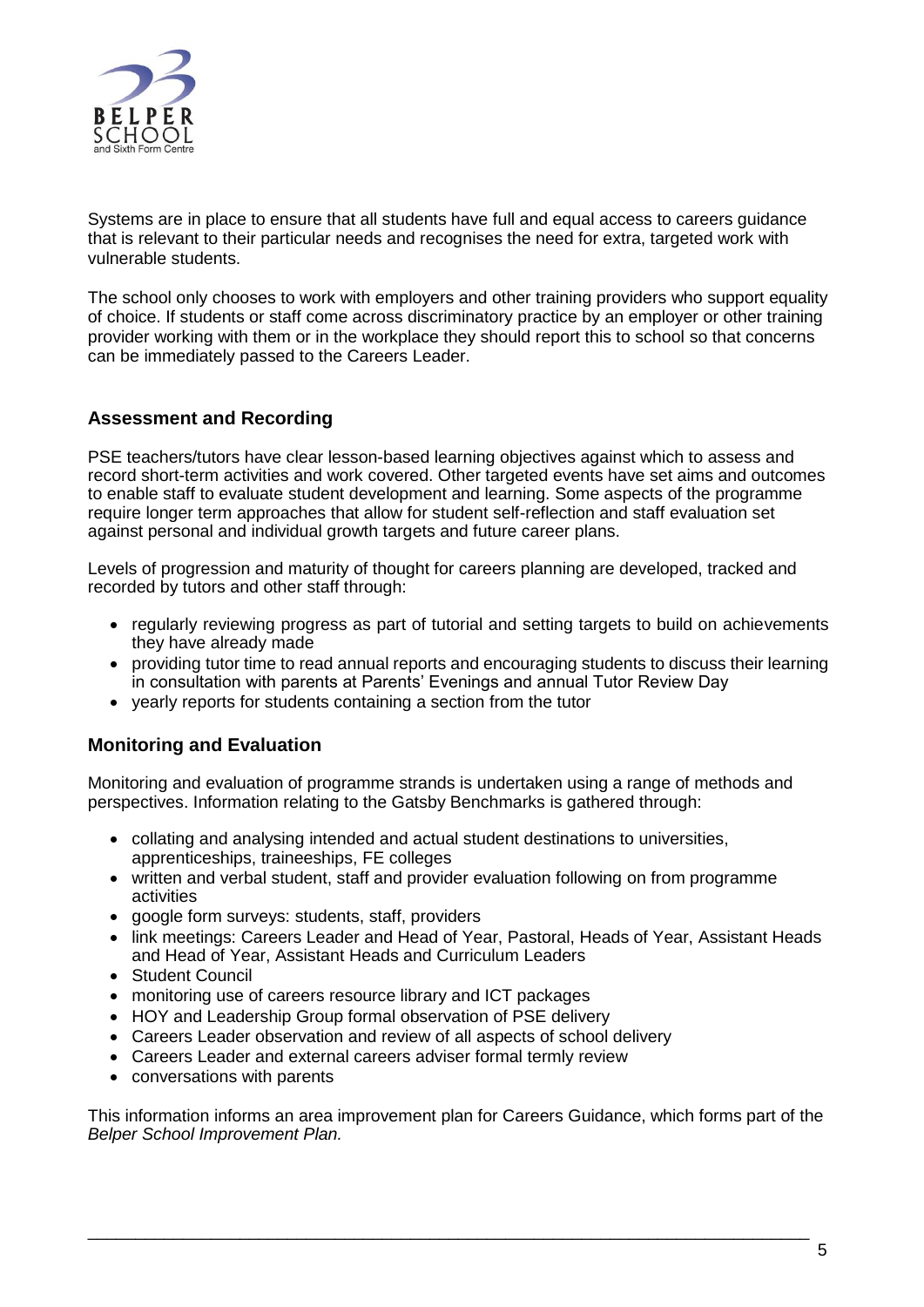

Systems are in place to ensure that all students have full and equal access to careers guidance that is relevant to their particular needs and recognises the need for extra, targeted work with vulnerable students.

The school only chooses to work with employers and other training providers who support equality of choice. If students or staff come across discriminatory practice by an employer or other training provider working with them or in the workplace they should report this to school so that concerns can be immediately passed to the Careers Leader.

## **Assessment and Recording**

PSE teachers/tutors have clear lesson-based learning objectives against which to assess and record short-term activities and work covered. Other targeted events have set aims and outcomes to enable staff to evaluate student development and learning. Some aspects of the programme require longer term approaches that allow for student self-reflection and staff evaluation set against personal and individual growth targets and future career plans.

Levels of progression and maturity of thought for careers planning are developed, tracked and recorded by tutors and other staff through:

- regularly reviewing progress as part of tutorial and setting targets to build on achievements they have already made
- providing tutor time to read annual reports and encouraging students to discuss their learning in consultation with parents at Parents' Evenings and annual Tutor Review Day
- vearly reports for students containing a section from the tutor

# **Monitoring and Evaluation**

Monitoring and evaluation of programme strands is undertaken using a range of methods and perspectives. Information relating to the Gatsby Benchmarks is gathered through:

- collating and analysing intended and actual student destinations to universities, apprenticeships, traineeships, FE colleges
- written and verbal student, staff and provider evaluation following on from programme activities
- google form surveys: students, staff, providers
- link meetings: Careers Leader and Head of Year, Pastoral, Heads of Year, Assistant Heads and Head of Year, Assistant Heads and Curriculum Leaders
- Student Council
- monitoring use of careers resource library and ICT packages
- HOY and Leadership Group formal observation of PSE delivery
- Careers Leader observation and review of all aspects of school delivery
- Careers Leader and external careers adviser formal termly review
- conversations with parents

This information informs an area improvement plan for Careers Guidance, which forms part of the *Belper School Improvement Plan.*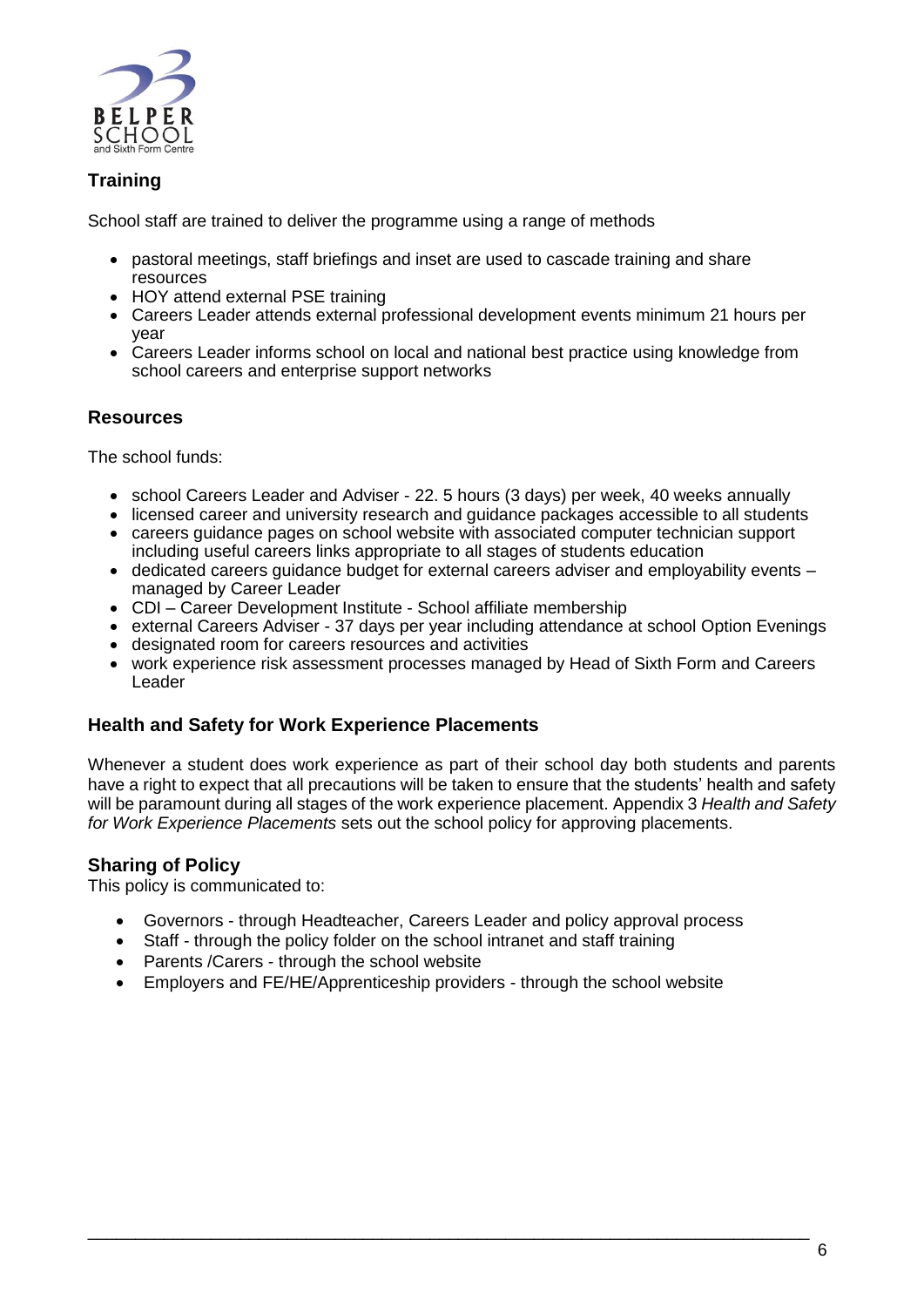

# **Training**

School staff are trained to deliver the programme using a range of methods

- pastoral meetings, staff briefings and inset are used to cascade training and share resources
- HOY attend external PSE training
- Careers Leader attends external professional development events minimum 21 hours per year
- Careers Leader informs school on local and national best practice using knowledge from school careers and enterprise support networks

## **Resources**

The school funds:

- school Careers Leader and Adviser 22. 5 hours (3 days) per week, 40 weeks annually
- licensed career and university research and guidance packages accessible to all students
- careers guidance pages on school website with associated computer technician support including useful careers links appropriate to all stages of students education
- dedicated careers guidance budget for external careers adviser and employability events managed by Career Leader
- CDI Career Development Institute School affiliate membership
- external Careers Adviser 37 days per year including attendance at school Option Evenings
- designated room for careers resources and activities
- work experience risk assessment processes managed by Head of Sixth Form and Careers Leader

#### **Health and Safety for Work Experience Placements**

Whenever a student does work experience as part of their school day both students and parents have a right to expect that all precautions will be taken to ensure that the students' health and safety will be paramount during all stages of the work experience placement. Appendix 3 *Health and Safety for Work Experience Placements* sets out the school policy for approving placements.

# **Sharing of Policy**

This policy is communicated to:

- Governors through Headteacher, Careers Leader and policy approval process
- Staff through the policy folder on the school intranet and staff training
- Parents / Carers through the school website
- Employers and FE/HE/Apprenticeship providers through the school website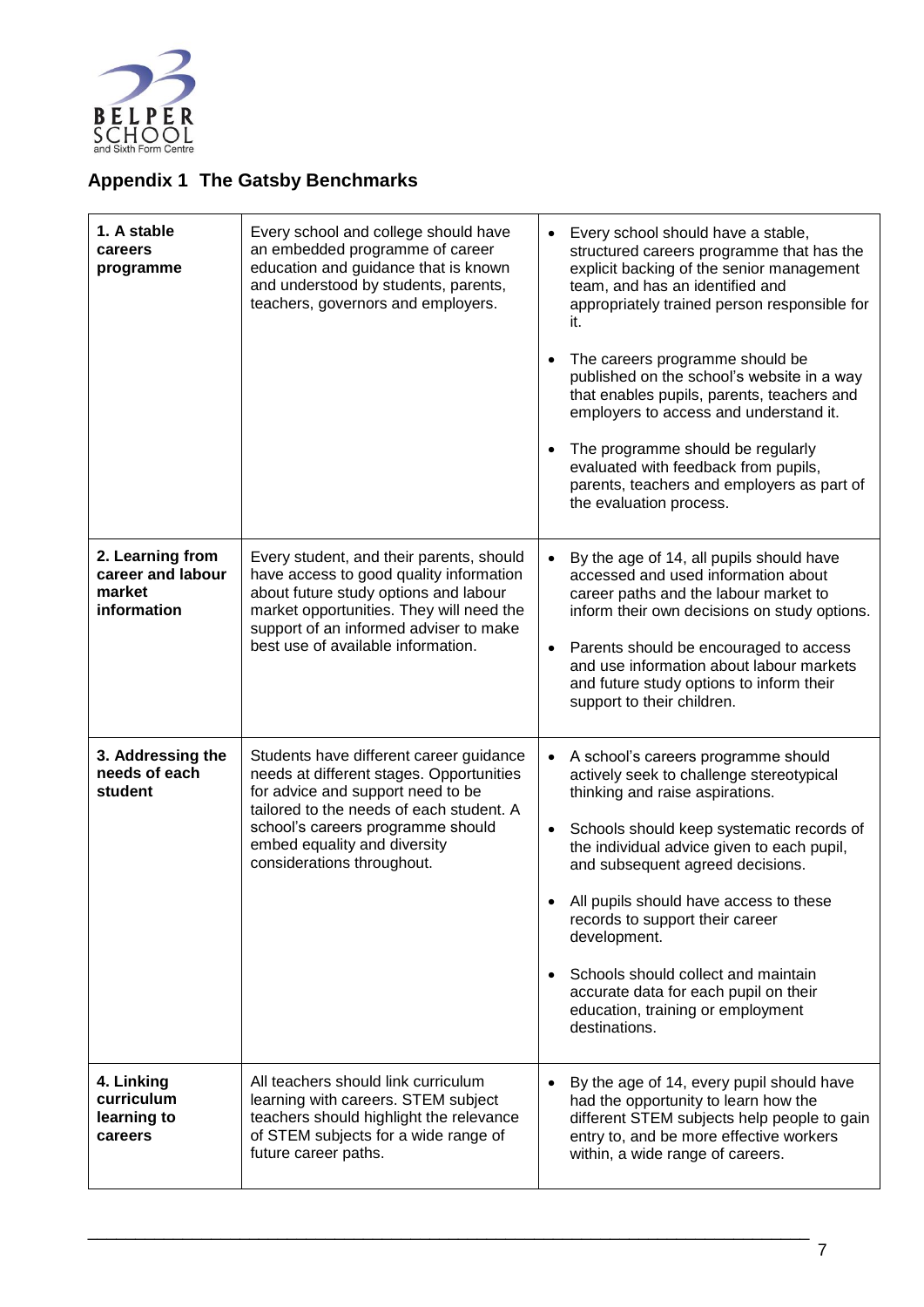

# <span id="page-7-0"></span>**Appendix 1 The Gatsby Benchmarks**

| 1. A stable<br>careers<br>programme                            | Every school and college should have<br>an embedded programme of career<br>education and guidance that is known<br>and understood by students, parents,<br>teachers, governors and employers.                                                                           | Every school should have a stable,<br>$\bullet$<br>structured careers programme that has the<br>explicit backing of the senior management<br>team, and has an identified and<br>appropriately trained person responsible for<br>it.<br>The careers programme should be<br>published on the school's website in a way<br>that enables pupils, parents, teachers and<br>employers to access and understand it.<br>The programme should be regularly<br>evaluated with feedback from pupils,<br>parents, teachers and employers as part of<br>the evaluation process. |
|----------------------------------------------------------------|-------------------------------------------------------------------------------------------------------------------------------------------------------------------------------------------------------------------------------------------------------------------------|--------------------------------------------------------------------------------------------------------------------------------------------------------------------------------------------------------------------------------------------------------------------------------------------------------------------------------------------------------------------------------------------------------------------------------------------------------------------------------------------------------------------------------------------------------------------|
| 2. Learning from<br>career and labour<br>market<br>information | Every student, and their parents, should<br>have access to good quality information<br>about future study options and labour<br>market opportunities. They will need the<br>support of an informed adviser to make<br>best use of available information.                | By the age of 14, all pupils should have<br>$\bullet$<br>accessed and used information about<br>career paths and the labour market to<br>inform their own decisions on study options.<br>Parents should be encouraged to access<br>and use information about labour markets<br>and future study options to inform their<br>support to their children.                                                                                                                                                                                                              |
| 3. Addressing the<br>needs of each<br>student                  | Students have different career guidance<br>needs at different stages. Opportunities<br>for advice and support need to be<br>tailored to the needs of each student. A<br>school's careers programme should<br>embed equality and diversity<br>considerations throughout. | A school's careers programme should<br>actively seek to challenge stereotypical<br>thinking and raise aspirations.<br>Schools should keep systematic records of<br>$\bullet$<br>the individual advice given to each pupil,<br>and subsequent agreed decisions.<br>All pupils should have access to these<br>records to support their career<br>development.<br>Schools should collect and maintain<br>accurate data for each pupil on their<br>education, training or employment<br>destinations.                                                                  |
| 4. Linking<br>curriculum<br>learning to<br>careers             | All teachers should link curriculum<br>learning with careers. STEM subject<br>teachers should highlight the relevance<br>of STEM subjects for a wide range of<br>future career paths.                                                                                   | By the age of 14, every pupil should have<br>had the opportunity to learn how the<br>different STEM subjects help people to gain<br>entry to, and be more effective workers<br>within, a wide range of careers.                                                                                                                                                                                                                                                                                                                                                    |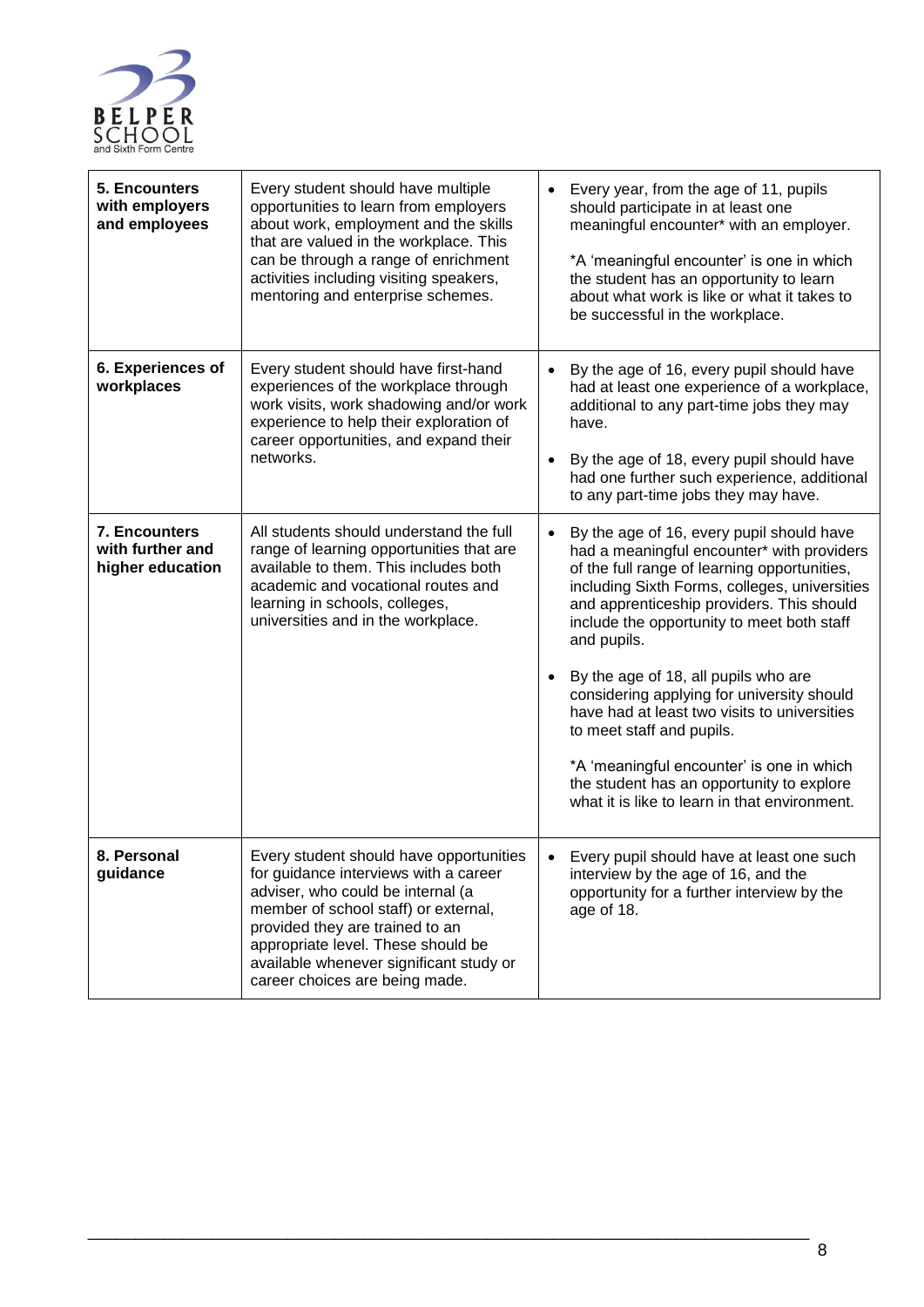

| 5. Encounters<br>with employers<br>and employees      | Every student should have multiple<br>opportunities to learn from employers<br>about work, employment and the skills<br>that are valued in the workplace. This<br>can be through a range of enrichment<br>activities including visiting speakers,<br>mentoring and enterprise schemes.                              | Every year, from the age of 11, pupils<br>$\bullet$<br>should participate in at least one<br>meaningful encounter* with an employer.<br>*A 'meaningful encounter' is one in which<br>the student has an opportunity to learn<br>about what work is like or what it takes to<br>be successful in the workplace.                                                                                                                                                                                                                                                                                                                             |
|-------------------------------------------------------|---------------------------------------------------------------------------------------------------------------------------------------------------------------------------------------------------------------------------------------------------------------------------------------------------------------------|--------------------------------------------------------------------------------------------------------------------------------------------------------------------------------------------------------------------------------------------------------------------------------------------------------------------------------------------------------------------------------------------------------------------------------------------------------------------------------------------------------------------------------------------------------------------------------------------------------------------------------------------|
| 6. Experiences of<br>workplaces                       | Every student should have first-hand<br>experiences of the workplace through<br>work visits, work shadowing and/or work<br>experience to help their exploration of<br>career opportunities, and expand their<br>networks.                                                                                           | By the age of 16, every pupil should have<br>$\bullet$<br>had at least one experience of a workplace,<br>additional to any part-time jobs they may<br>have.<br>By the age of 18, every pupil should have<br>$\bullet$<br>had one further such experience, additional<br>to any part-time jobs they may have.                                                                                                                                                                                                                                                                                                                               |
| 7. Encounters<br>with further and<br>higher education | All students should understand the full<br>range of learning opportunities that are<br>available to them. This includes both<br>academic and vocational routes and<br>learning in schools, colleges,<br>universities and in the workplace.                                                                          | By the age of 16, every pupil should have<br>$\bullet$<br>had a meaningful encounter* with providers<br>of the full range of learning opportunities,<br>including Sixth Forms, colleges, universities<br>and apprenticeship providers. This should<br>include the opportunity to meet both staff<br>and pupils.<br>By the age of 18, all pupils who are<br>$\bullet$<br>considering applying for university should<br>have had at least two visits to universities<br>to meet staff and pupils.<br>*A 'meaningful encounter' is one in which<br>the student has an opportunity to explore<br>what it is like to learn in that environment. |
| 8. Personal<br>guidance                               | Every student should have opportunities<br>for guidance interviews with a career<br>adviser, who could be internal (a<br>member of school staff) or external,<br>provided they are trained to an<br>appropriate level. These should be<br>available whenever significant study or<br>career choices are being made. | Every pupil should have at least one such<br>interview by the age of 16, and the<br>opportunity for a further interview by the<br>age of 18.                                                                                                                                                                                                                                                                                                                                                                                                                                                                                               |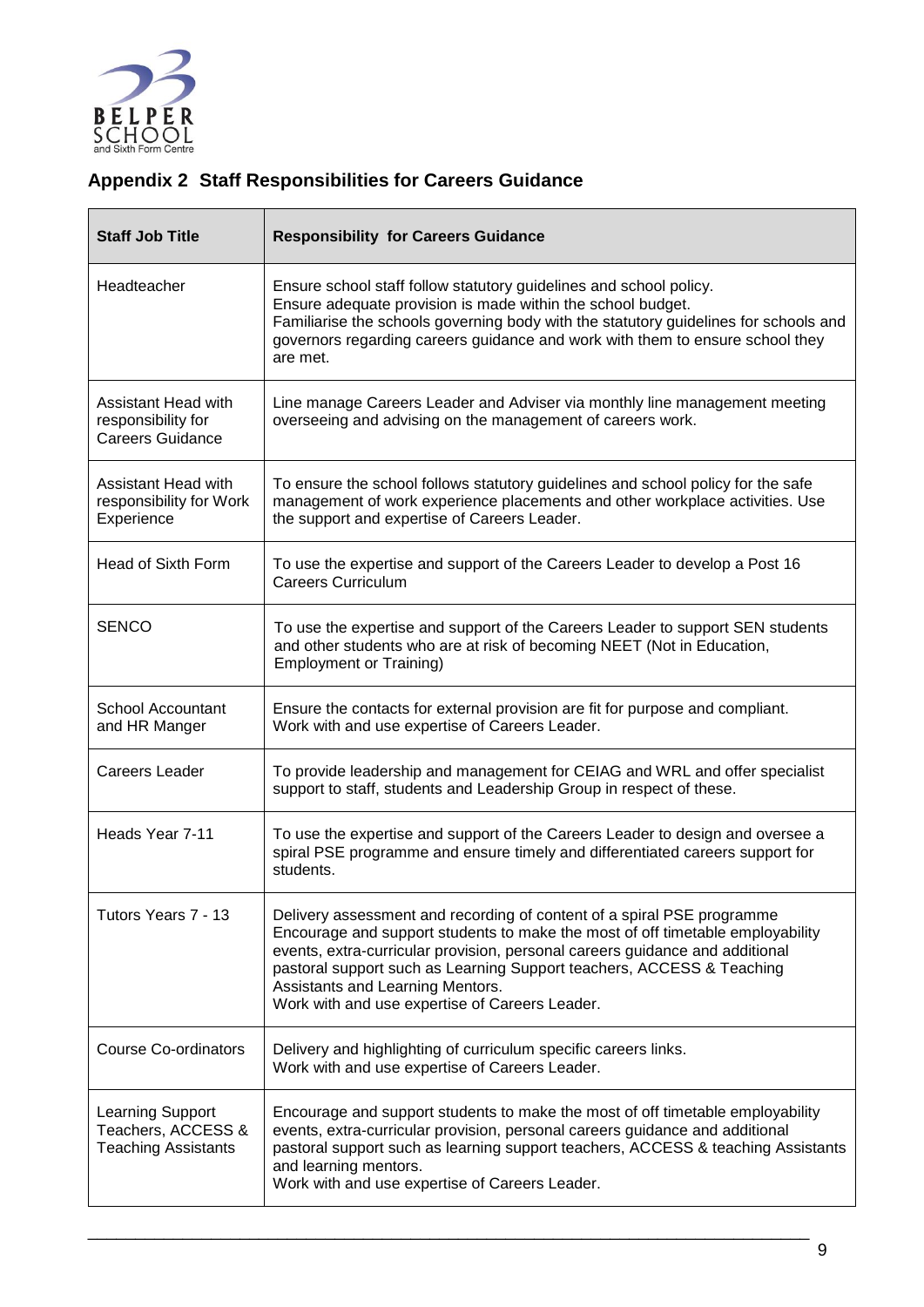

# <span id="page-9-0"></span>**Appendix 2 Staff Responsibilities for Careers Guidance**

| <b>Staff Job Title</b>                                               | <b>Responsibility for Careers Guidance</b>                                                                                                                                                                                                                                                                                                                                                              |
|----------------------------------------------------------------------|---------------------------------------------------------------------------------------------------------------------------------------------------------------------------------------------------------------------------------------------------------------------------------------------------------------------------------------------------------------------------------------------------------|
| Headteacher                                                          | Ensure school staff follow statutory guidelines and school policy.<br>Ensure adequate provision is made within the school budget.<br>Familiarise the schools governing body with the statutory guidelines for schools and<br>governors regarding careers guidance and work with them to ensure school they<br>are met.                                                                                  |
| Assistant Head with<br>responsibility for<br><b>Careers Guidance</b> | Line manage Careers Leader and Adviser via monthly line management meeting<br>overseeing and advising on the management of careers work.                                                                                                                                                                                                                                                                |
| Assistant Head with<br>responsibility for Work<br>Experience         | To ensure the school follows statutory guidelines and school policy for the safe<br>management of work experience placements and other workplace activities. Use<br>the support and expertise of Careers Leader.                                                                                                                                                                                        |
| <b>Head of Sixth Form</b>                                            | To use the expertise and support of the Careers Leader to develop a Post 16<br><b>Careers Curriculum</b>                                                                                                                                                                                                                                                                                                |
| <b>SENCO</b>                                                         | To use the expertise and support of the Careers Leader to support SEN students<br>and other students who are at risk of becoming NEET (Not in Education,<br><b>Employment or Training)</b>                                                                                                                                                                                                              |
| School Accountant<br>and HR Manger                                   | Ensure the contacts for external provision are fit for purpose and compliant.<br>Work with and use expertise of Careers Leader.                                                                                                                                                                                                                                                                         |
| Careers Leader                                                       | To provide leadership and management for CEIAG and WRL and offer specialist<br>support to staff, students and Leadership Group in respect of these.                                                                                                                                                                                                                                                     |
| Heads Year 7-11                                                      | To use the expertise and support of the Careers Leader to design and oversee a<br>spiral PSE programme and ensure timely and differentiated careers support for<br>students.                                                                                                                                                                                                                            |
| Tutors Years 7 - 13                                                  | Delivery assessment and recording of content of a spiral PSE programme<br>Encourage and support students to make the most of off timetable employability<br>events, extra-curricular provision, personal careers guidance and additional<br>pastoral support such as Learning Support teachers, ACCESS & Teaching<br>Assistants and Learning Mentors.<br>Work with and use expertise of Careers Leader. |
| Course Co-ordinators                                                 | Delivery and highlighting of curriculum specific careers links.<br>Work with and use expertise of Careers Leader.                                                                                                                                                                                                                                                                                       |
| Learning Support<br>Teachers, ACCESS &<br><b>Teaching Assistants</b> | Encourage and support students to make the most of off timetable employability<br>events, extra-curricular provision, personal careers guidance and additional<br>pastoral support such as learning support teachers, ACCESS & teaching Assistants<br>and learning mentors.<br>Work with and use expertise of Careers Leader.                                                                           |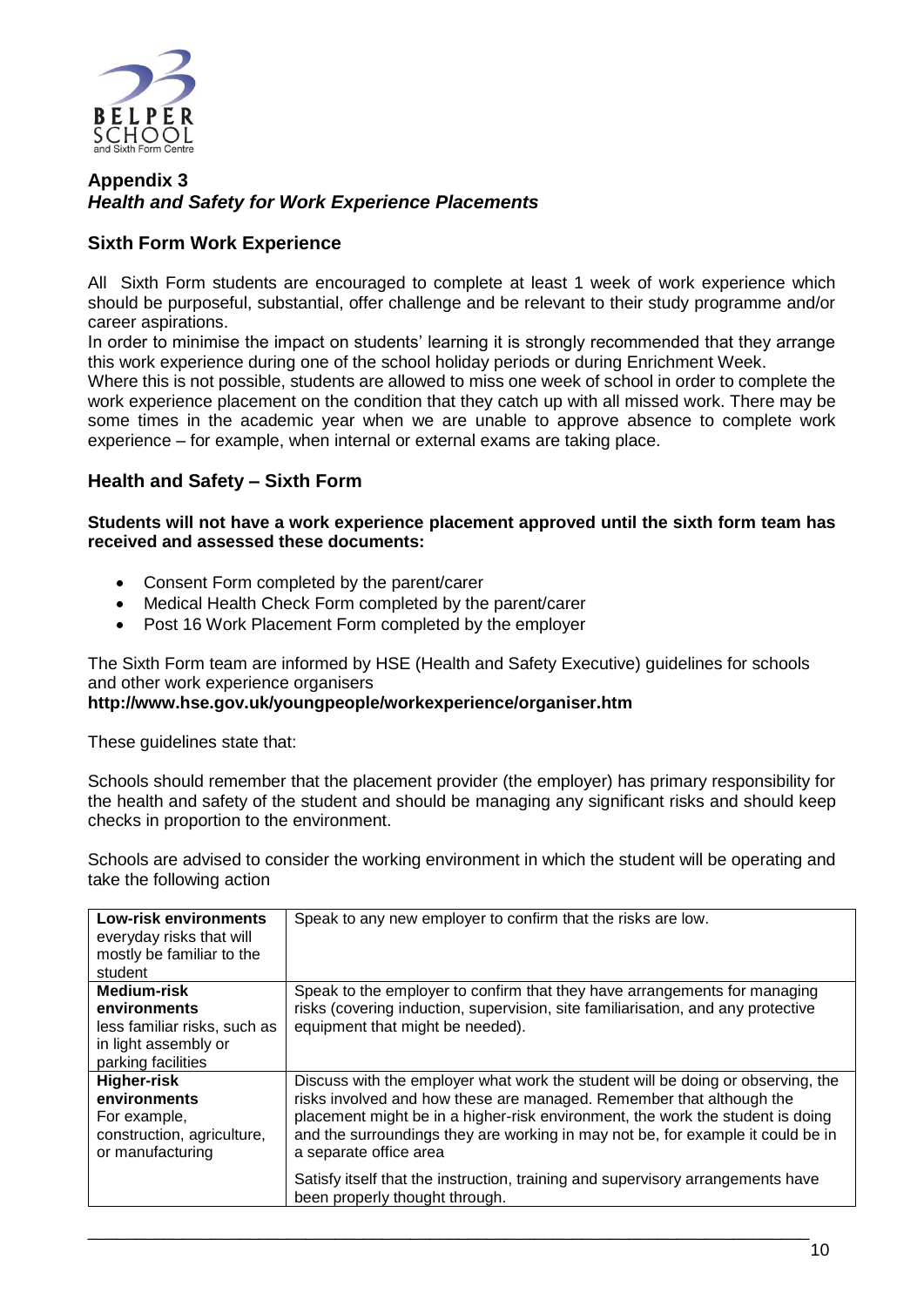

#### **Appendix 3** *Health and Safety for Work Experience Placements*

# **Sixth Form Work Experience**

All Sixth Form students are encouraged to complete at least 1 week of work experience which should be purposeful, substantial, offer challenge and be relevant to their study programme and/or career aspirations.

In order to minimise the impact on students' learning it is strongly recommended that they arrange this work experience during one of the school holiday periods or during Enrichment Week.

Where this is not possible, students are allowed to miss one week of school in order to complete the work experience placement on the condition that they catch up with all missed work. There may be some times in the academic year when we are unable to approve absence to complete work experience – for example, when internal or external exams are taking place.

# **Health and Safety – Sixth Form**

**Students will not have a work experience placement approved until the sixth form team has received and assessed these documents:**

- Consent Form completed by the parent/carer
- Medical Health Check Form completed by the parent/carer
- Post 16 Work Placement Form completed by the employer

The Sixth Form team are informed by HSE (Health and Safety Executive) guidelines for schools and other work experience organisers

#### **<http://www.hse.gov.uk/youngpeople/workexperience/organiser.htm>**

These guidelines state that:

Schools should remember that the placement provider (the employer) has primary responsibility for the health and safety of the student and should be managing any significant risks and should keep checks in proportion to the environment.

Schools are advised to consider the working environment in which the student will be operating and take the following action

| <b>Low-risk environments</b><br>everyday risks that will<br>mostly be familiar to the<br>student          | Speak to any new employer to confirm that the risks are low.                                                                                                                                                                                                                                                                                           |
|-----------------------------------------------------------------------------------------------------------|--------------------------------------------------------------------------------------------------------------------------------------------------------------------------------------------------------------------------------------------------------------------------------------------------------------------------------------------------------|
| Medium-risk<br>environments<br>less familiar risks, such as<br>in light assembly or<br>parking facilities | Speak to the employer to confirm that they have arrangements for managing<br>risks (covering induction, supervision, site familiarisation, and any protective<br>equipment that might be needed).                                                                                                                                                      |
| Higher-risk<br>environments<br>For example,<br>construction, agriculture,<br>or manufacturing             | Discuss with the employer what work the student will be doing or observing, the<br>risks involved and how these are managed. Remember that although the<br>placement might be in a higher-risk environment, the work the student is doing<br>and the surroundings they are working in may not be, for example it could be in<br>a separate office area |
|                                                                                                           | Satisfy itself that the instruction, training and supervisory arrangements have<br>been properly thought through.                                                                                                                                                                                                                                      |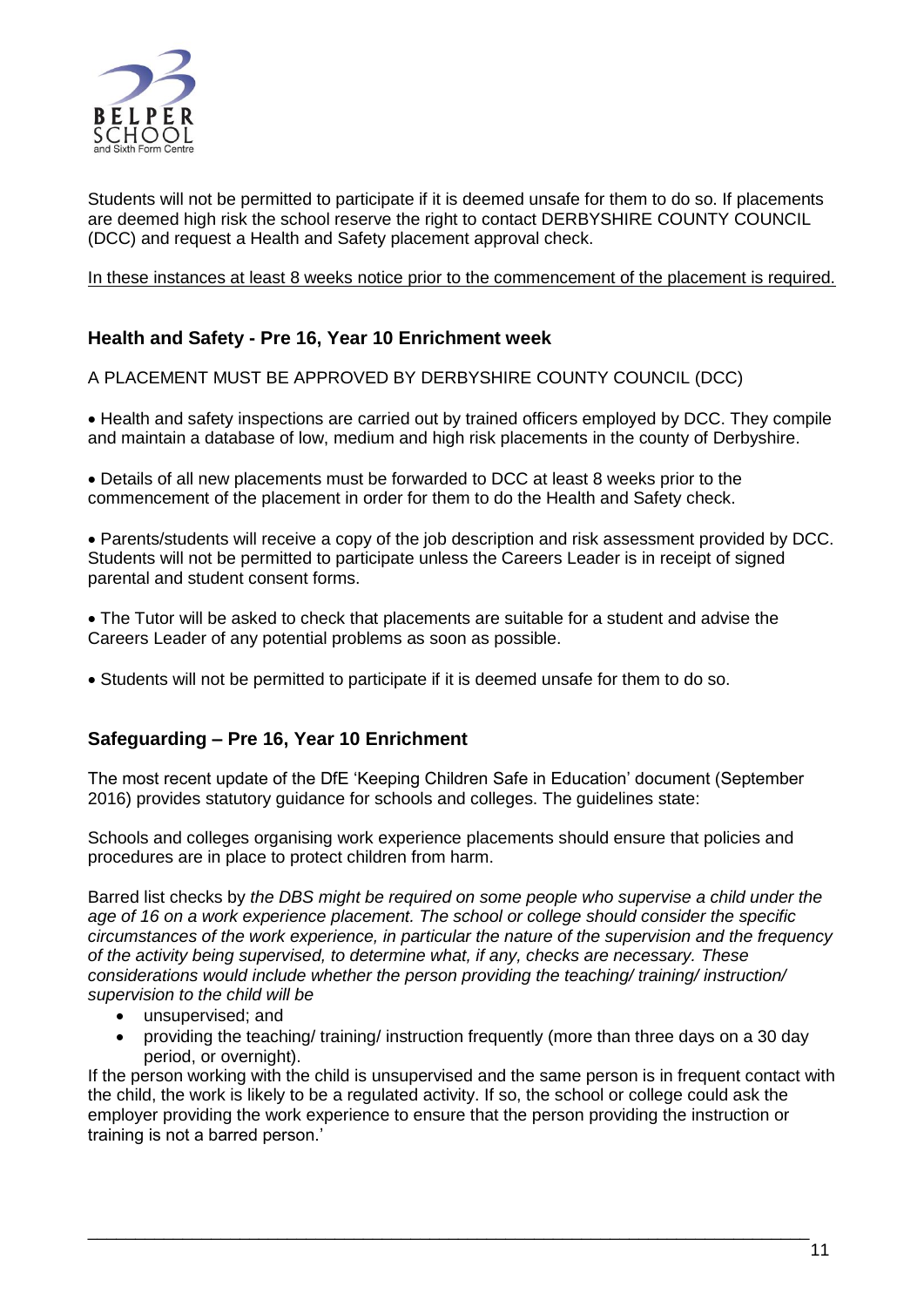

Students will not be permitted to participate if it is deemed unsafe for them to do so. If placements are deemed high risk the school reserve the right to contact DERBYSHIRE COUNTY COUNCIL (DCC) and request a Health and Safety placement approval check.

#### In these instances at least 8 weeks notice prior to the commencement of the placement is required.

# **Health and Safety - Pre 16, Year 10 Enrichment week**

A PLACEMENT MUST BE APPROVED BY DERBYSHIRE COUNTY COUNCIL (DCC)

• Health and safety inspections are carried out by trained officers employed by DCC. They compile and maintain a database of low, medium and high risk placements in the county of Derbyshire.

 Details of all new placements must be forwarded to DCC at least 8 weeks prior to the commencement of the placement in order for them to do the Health and Safety check.

 Parents/students will receive a copy of the job description and risk assessment provided by DCC. Students will not be permitted to participate unless the Careers Leader is in receipt of signed parental and student consent forms.

 The Tutor will be asked to check that placements are suitable for a student and advise the Careers Leader of any potential problems as soon as possible.

Students will not be permitted to participate if it is deemed unsafe for them to do so.

#### **Safeguarding – Pre 16, Year 10 Enrichment**

The most recent update of the DfE 'Keeping Children Safe in Education' document (September 2016) provides statutory guidance for schools and colleges. The guidelines state:

Schools and colleges organising work experience placements should ensure that policies and procedures are in place to protect children from harm.

Barred list checks by *the DBS might be required on some people who supervise a child under the age of 16 on a work experience placement. The school or college should consider the specific circumstances of the work experience, in particular the nature of the supervision and the frequency of the activity being supervised, to determine what, if any, checks are necessary. These considerations would include whether the person providing the teaching/ training/ instruction/ supervision to the child will be* 

- unsupervised; and
- providing the teaching/ training/ instruction frequently (more than three days on a 30 day period, or overnight).

If the person working with the child is unsupervised and the same person is in frequent contact with the child, the work is likely to be a regulated activity. If so, the school or college could ask the employer providing the work experience to ensure that the person providing the instruction or training is not a barred person.'